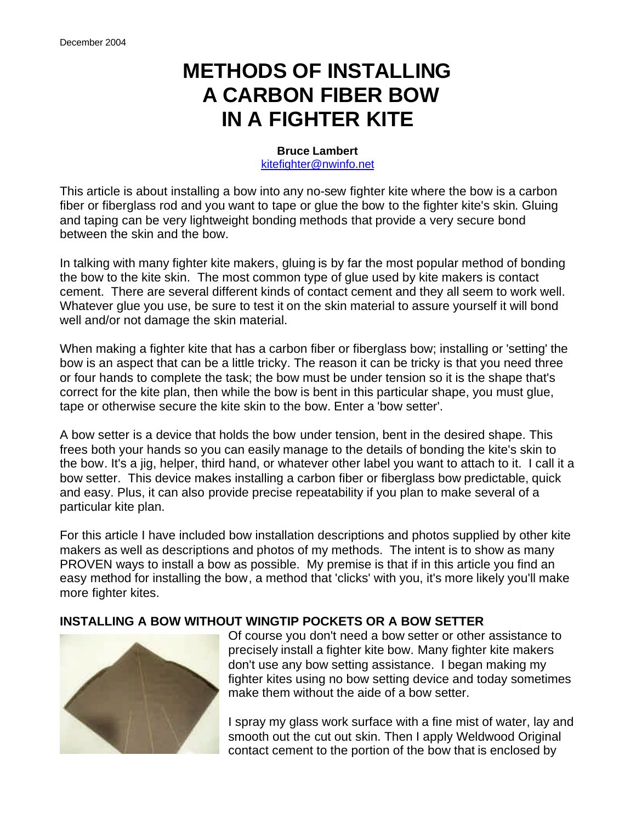# **METHODS OF INSTALLING A CARBON FIBER BOW IN A FIGHTER KITE**

#### **Bruce Lambert** kitefighter@nwinfo.net

This article is about installing a bow into any no-sew fighter kite where the bow is a carbon fiber or fiberglass rod and you want to tape or glue the bow to the fighter kite's skin. Gluing and taping can be very lightweight bonding methods that provide a very secure bond between the skin and the bow.

In talking with many fighter kite makers, gluing is by far the most popular method of bonding the bow to the kite skin. The most common type of glue used by kite makers is contact cement. There are several different kinds of contact cement and they all seem to work well. Whatever glue you use, be sure to test it on the skin material to assure yourself it will bond well and/or not damage the skin material.

When making a fighter kite that has a carbon fiber or fiberglass bow; installing or 'setting' the bow is an aspect that can be a little tricky. The reason it can be tricky is that you need three or four hands to complete the task; the bow must be under tension so it is the shape that's correct for the kite plan, then while the bow is bent in this particular shape, you must glue, tape or otherwise secure the kite skin to the bow. Enter a 'bow setter'.

A bow setter is a device that holds the bow under tension, bent in the desired shape. This frees both your hands so you can easily manage to the details of bonding the kite's skin to the bow. It's a jig, helper, third hand, or whatever other label you want to attach to it. I call it a bow setter. This device makes installing a carbon fiber or fiberglass bow predictable, quick and easy. Plus, it can also provide precise repeatability if you plan to make several of a particular kite plan.

For this article I have included bow installation descriptions and photos supplied by other kite makers as well as descriptions and photos of my methods. The intent is to show as many PROVEN ways to install a bow as possible. My premise is that if in this article you find an easy method for installing the bow, a method that 'clicks' with you, it's more likely you'll make more fighter kites.

### **INSTALLING A BOW WITHOUT WINGTIP POCKETS OR A BOW SETTER**



Of course you don't need a bow setter or other assistance to precisely install a fighter kite bow. Many fighter kite makers don't use any bow setting assistance. I began making my fighter kites using no bow setting device and today sometimes make them without the aide of a bow setter.

I spray my glass work surface with a fine mist of water, lay and smooth out the cut out skin. Then I apply Weldwood Original contact cement to the portion of the bow that is enclosed by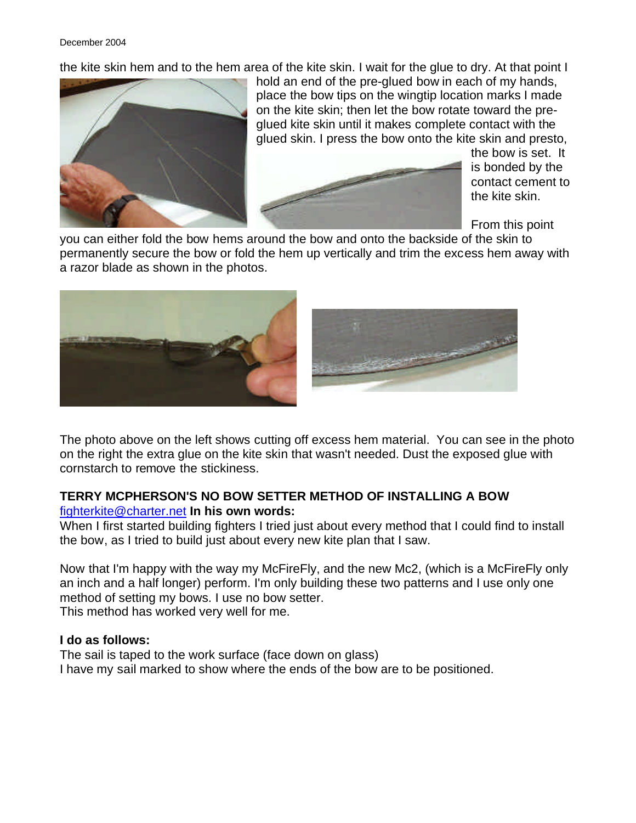December 2004

the kite skin hem and to the hem area of the kite skin. I wait for the glue to dry. At that point I



hold an end of the pre-glued bow in each of my hands, place the bow tips on the wingtip location marks I made on the kite skin; then let the bow rotate toward the preglued kite skin until it makes complete contact with the glued skin. I press the bow onto the kite skin and presto,



the bow is set. It is bonded by the contact cement to the kite skin.

From this point

you can either fold the bow hems around the bow and onto the backside of the skin to permanently secure the bow or fold the hem up vertically and trim the excess hem away with a razor blade as shown in the photos.



The photo above on the left shows cutting off excess hem material. You can see in the photo on the right the extra glue on the kite skin that wasn't needed. Dust the exposed glue with cornstarch to remove the stickiness.

#### **TERRY MCPHERSON'S NO BOW SETTER METHOD OF INSTALLING A BOW** fighterkite@charter.net **In his own words:**

When I first started building fighters I tried just about every method that I could find to install the bow, as I tried to build just about every new kite plan that I saw.

Now that I'm happy with the way my McFireFly, and the new Mc2, (which is a McFireFly only an inch and a half longer) perform. I'm only building these two patterns and I use only one method of setting my bows. I use no bow setter. This method has worked very well for me.

#### **I do as follows:**

The sail is taped to the work surface (face down on glass) I have my sail marked to show where the ends of the bow are to be positioned.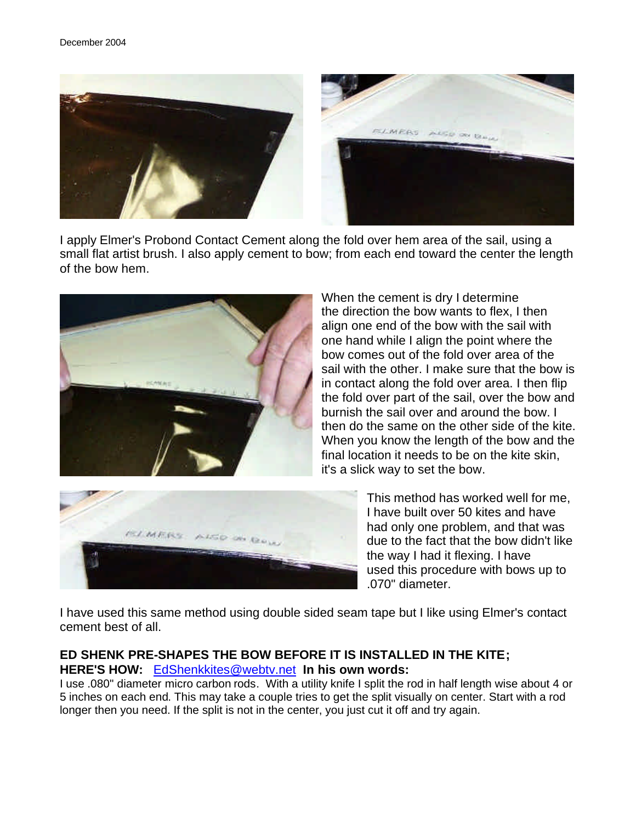

I apply Elmer's Probond Contact Cement along the fold over hem area of the sail, using a small flat artist brush. I also apply cement to bow; from each end toward the center the length of the bow hem.



When the cement is dry I determine the direction the bow wants to flex, I then align one end of the bow with the sail with one hand while I align the point where the bow comes out of the fold over area of the sail with the other. I make sure that the bow is in contact along the fold over area. I then flip the fold over part of the sail, over the bow and burnish the sail over and around the bow. I then do the same on the other side of the kite. When you know the length of the bow and the final location it needs to be on the kite skin, it's a slick way to set the bow.



This method has worked well for me, I have built over 50 kites and have had only one problem, and that was due to the fact that the bow didn't like the way I had it flexing. I have used this procedure with bows up to .070" diameter.

I have used this same method using double sided seam tape but I like using Elmer's contact cement best of all.

#### **ED SHENK PRE-SHAPES THE BOW BEFORE IT IS INSTALLED IN THE KITE; HERE'S HOW:** EdShenkkites@webtv.net **In his own words:**

I use .080" diameter micro carbon rods. With a utility knife I split the rod in half length wise about 4 or 5 inches on each end. This may take a couple tries to get the split visually on center. Start with a rod longer then you need. If the split is not in the center, you just cut it off and try again.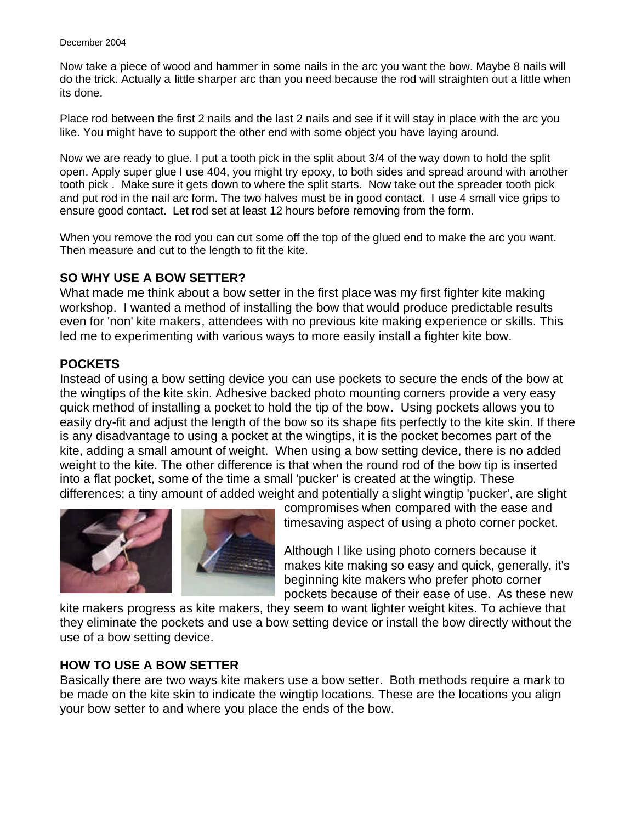Now take a piece of wood and hammer in some nails in the arc you want the bow. Maybe 8 nails will do the trick. Actually a little sharper arc than you need because the rod will straighten out a little when its done.

Place rod between the first 2 nails and the last 2 nails and see if it will stay in place with the arc you like. You might have to support the other end with some object you have laying around.

Now we are ready to glue. I put a tooth pick in the split about 3/4 of the way down to hold the split open. Apply super glue I use 404, you might try epoxy, to both sides and spread around with another tooth pick . Make sure it gets down to where the split starts. Now take out the spreader tooth pick and put rod in the nail arc form. The two halves must be in good contact. I use 4 small vice grips to ensure good contact. Let rod set at least 12 hours before removing from the form.

When you remove the rod you can cut some off the top of the glued end to make the arc you want. Then measure and cut to the length to fit the kite.

#### **SO WHY USE A BOW SETTER?**

What made me think about a bow setter in the first place was my first fighter kite making workshop. I wanted a method of installing the bow that would produce predictable results even for 'non' kite makers, attendees with no previous kite making experience or skills. This led me to experimenting with various ways to more easily install a fighter kite bow.

#### **POCKETS**

Instead of using a bow setting device you can use pockets to secure the ends of the bow at the wingtips of the kite skin. Adhesive backed photo mounting corners provide a very easy quick method of installing a pocket to hold the tip of the bow. Using pockets allows you to easily dry-fit and adjust the length of the bow so its shape fits perfectly to the kite skin. If there is any disadvantage to using a pocket at the wingtips, it is the pocket becomes part of the kite, adding a small amount of weight. When using a bow setting device, there is no added weight to the kite. The other difference is that when the round rod of the bow tip is inserted into a flat pocket, some of the time a small 'pucker' is created at the wingtip. These differences; a tiny amount of added weight and potentially a slight wingtip 'pucker', are slight



compromises when compared with the ease and timesaving aspect of using a photo corner pocket.

Although I like using photo corners because it makes kite making so easy and quick, generally, it's beginning kite makers who prefer photo corner pockets because of their ease of use. As these new

kite makers progress as kite makers, they seem to want lighter weight kites. To achieve that they eliminate the pockets and use a bow setting device or install the bow directly without the use of a bow setting device.

#### **HOW TO USE A BOW SETTER**

Basically there are two ways kite makers use a bow setter. Both methods require a mark to be made on the kite skin to indicate the wingtip locations. These are the locations you align your bow setter to and where you place the ends of the bow.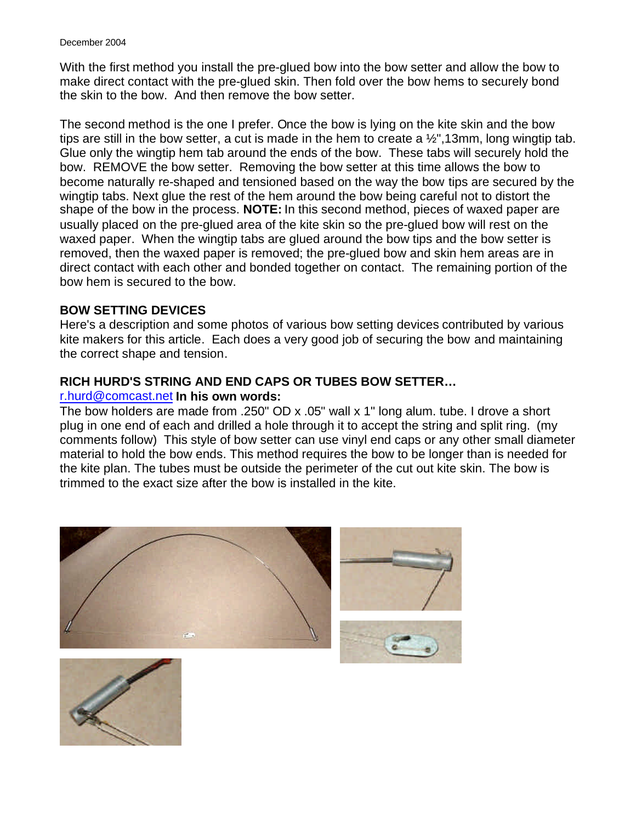With the first method you install the pre-glued bow into the bow setter and allow the bow to make direct contact with the pre-glued skin. Then fold over the bow hems to securely bond the skin to the bow. And then remove the bow setter.

The second method is the one I prefer. Once the bow is lying on the kite skin and the bow tips are still in the bow setter, a cut is made in the hem to create a  $\frac{1}{2}$ , 13mm, long wingtip tab. Glue only the wingtip hem tab around the ends of the bow. These tabs will securely hold the bow. REMOVE the bow setter. Removing the bow setter at this time allows the bow to become naturally re-shaped and tensioned based on the way the bow tips are secured by the wingtip tabs. Next glue the rest of the hem around the bow being careful not to distort the shape of the bow in the process. **NOTE:** In this second method, pieces of waxed paper are usually placed on the pre-glued area of the kite skin so the pre-glued bow will rest on the waxed paper. When the wingtip tabs are glued around the bow tips and the bow setter is removed, then the waxed paper is removed; the pre-glued bow and skin hem areas are in direct contact with each other and bonded together on contact. The remaining portion of the bow hem is secured to the bow.

#### **BOW SETTING DEVICES**

Here's a description and some photos of various bow setting devices contributed by various kite makers for this article. Each does a very good job of securing the bow and maintaining the correct shape and tension.

#### **RICH HURD'S STRING AND END CAPS OR TUBES BOW SETTER…**

#### r.hurd@comcast.net **In his own words:**

The bow holders are made from .250" OD x .05" wall x 1" long alum. tube. I drove a short plug in one end of each and drilled a hole through it to accept the string and split ring. (my comments follow) This style of bow setter can use vinyl end caps or any other small diameter material to hold the bow ends. This method requires the bow to be longer than is needed for the kite plan. The tubes must be outside the perimeter of the cut out kite skin. The bow is trimmed to the exact size after the bow is installed in the kite.



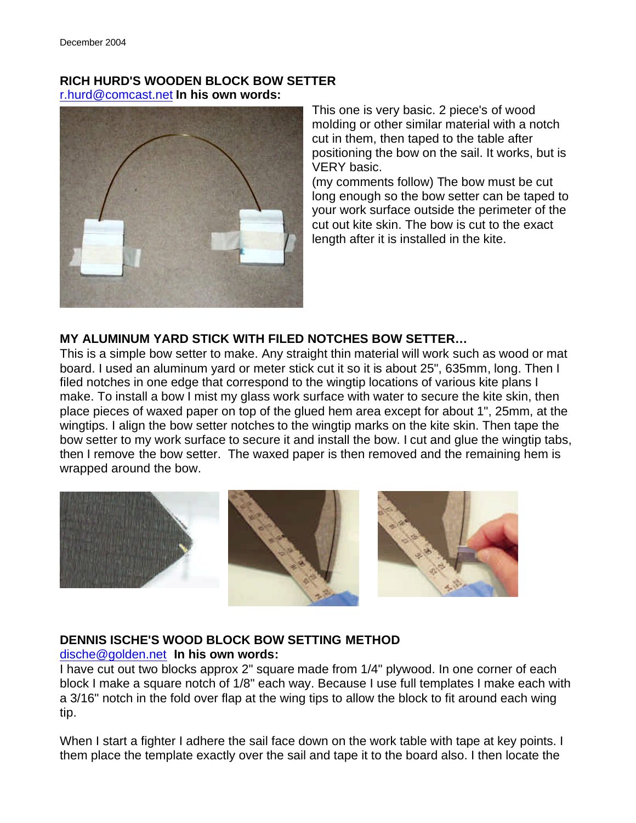### **RICH HURD'S WOODEN BLOCK BOW SETTER** r.hurd@comcast.net **In his own words:**



This one is very basic. 2 piece's of wood molding or other similar material with a notch cut in them, then taped to the table after positioning the bow on the sail. It works, but is VERY basic.

(my comments follow) The bow must be cut long enough so the bow setter can be taped to your work surface outside the perimeter of the cut out kite skin. The bow is cut to the exact length after it is installed in the kite.

### **MY ALUMINUM YARD STICK WITH FILED NOTCHES BOW SETTER…**

This is a simple bow setter to make. Any straight thin material will work such as wood or mat board. I used an aluminum yard or meter stick cut it so it is about 25", 635mm, long. Then I filed notches in one edge that correspond to the wingtip locations of various kite plans I make. To install a bow I mist my glass work surface with water to secure the kite skin, then place pieces of waxed paper on top of the glued hem area except for about 1", 25mm, at the wingtips. I align the bow setter notches to the wingtip marks on the kite skin. Then tape the bow setter to my work surface to secure it and install the bow. I cut and glue the wingtip tabs, then I remove the bow setter. The waxed paper is then removed and the remaining hem is wrapped around the bow.



#### **DENNIS ISCHE'S WOOD BLOCK BOW SETTING METHOD** dische@golden.net **In his own words:**

I have cut out two blocks approx 2" square made from 1/4" plywood. In one corner of each block I make a square notch of 1/8" each way. Because I use full templates I make each with a 3/16" notch in the fold over flap at the wing tips to allow the block to fit around each wing tip.

When I start a fighter I adhere the sail face down on the work table with tape at key points. I them place the template exactly over the sail and tape it to the board also. I then locate the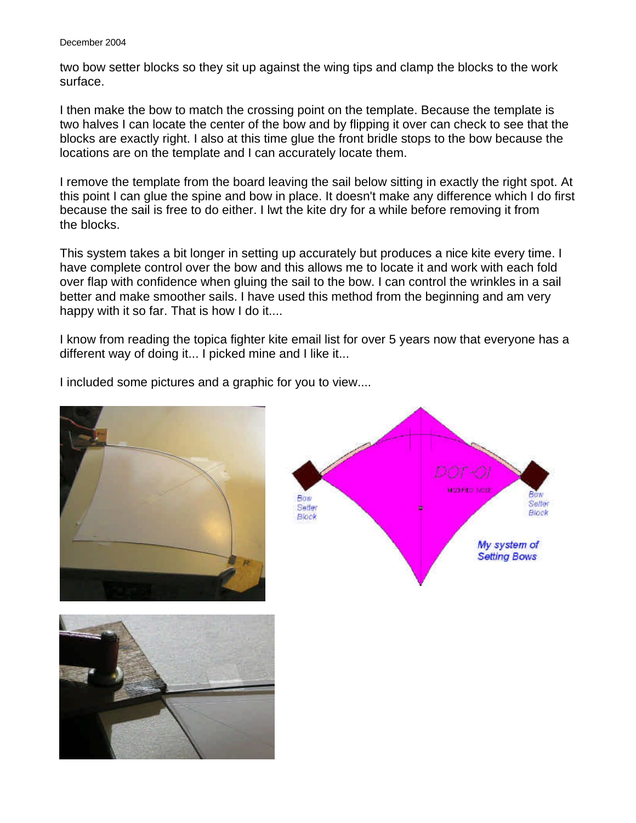#### December 2004

two bow setter blocks so they sit up against the wing tips and clamp the blocks to the work surface.

I then make the bow to match the crossing point on the template. Because the template is two halves I can locate the center of the bow and by flipping it over can check to see that the blocks are exactly right. I also at this time glue the front bridle stops to the bow because the locations are on the template and I can accurately locate them.

I remove the template from the board leaving the sail below sitting in exactly the right spot. At this point I can glue the spine and bow in place. It doesn't make any difference which I do first because the sail is free to do either. I lwt the kite dry for a while before removing it from the blocks.

This system takes a bit longer in setting up accurately but produces a nice kite every time. I have complete control over the bow and this allows me to locate it and work with each fold over flap with confidence when gluing the sail to the bow. I can control the wrinkles in a sail better and make smoother sails. I have used this method from the beginning and am very happy with it so far. That is how I do it....

I know from reading the topica fighter kite email list for over 5 years now that everyone has a different way of doing it... I picked mine and I like it...

I included some pictures and a graphic for you to view....





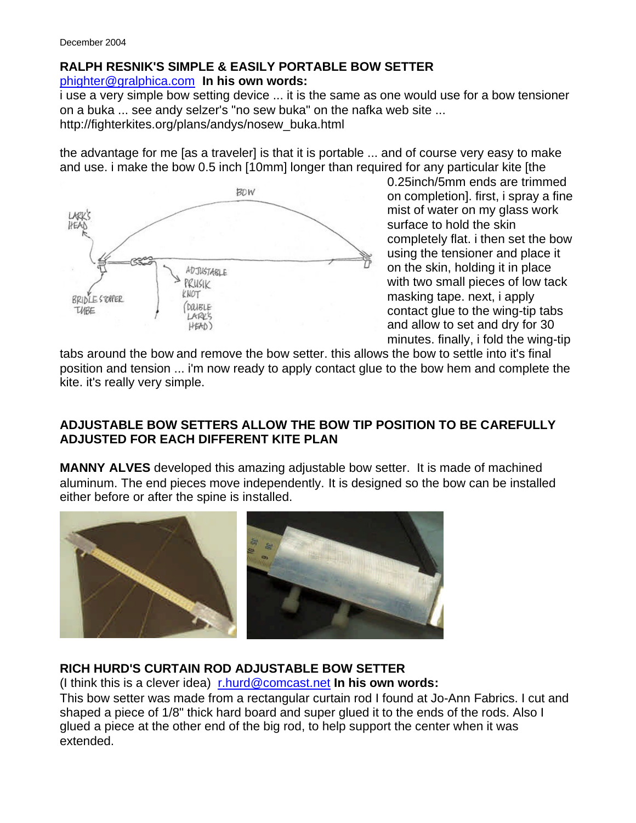## **RALPH RESNIK'S SIMPLE & EASILY PORTABLE BOW SETTER**

phighter@gralphica.com **In his own words:**

i use a very simple bow setting device ... it is the same as one would use for a bow tensioner on a buka ... see andy selzer's "no sew buka" on the nafka web site ... http://fighterkites.org/plans/andys/nosew\_buka.html

the advantage for me [as a traveler] is that it is portable ... and of course very easy to make and use. i make the bow 0.5 inch [10mm] longer than required for any particular kite [the



0.25inch/5mm ends are trimmed on completion]. first, i spray a fine mist of water on my glass work surface to hold the skin completely flat. i then set the bow using the tensioner and place it on the skin, holding it in place with two small pieces of low tack masking tape. next, i apply contact glue to the wing-tip tabs and allow to set and dry for 30 minutes. finally, i fold the wing-tip

tabs around the bow and remove the bow setter. this allows the bow to settle into it's final position and tension ... i'm now ready to apply contact glue to the bow hem and complete the kite. it's really very simple.

## **ADJUSTABLE BOW SETTERS ALLOW THE BOW TIP POSITION TO BE CAREFULLY ADJUSTED FOR EACH DIFFERENT KITE PLAN**

**MANNY ALVES** developed this amazing adjustable bow setter. It is made of machined aluminum. The end pieces move independently. It is designed so the bow can be installed either before or after the spine is installed.



### **RICH HURD'S CURTAIN ROD ADJUSTABLE BOW SETTER**

(I think this is a clever idea) r.hurd@comcast.net **In his own words:**

This bow setter was made from a rectangular curtain rod I found at Jo-Ann Fabrics. I cut and shaped a piece of 1/8" thick hard board and super glued it to the ends of the rods. Also I glued a piece at the other end of the big rod, to help support the center when it was extended.